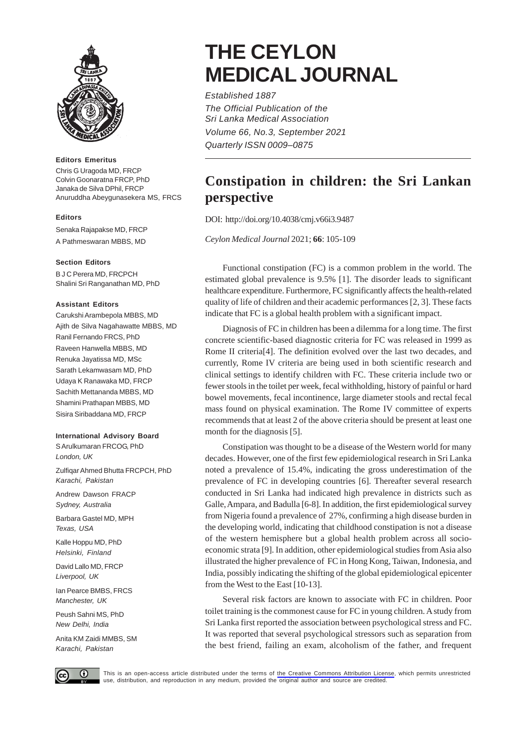

### **Editors Emeritus**

Chris G Uragoda MD, FRCP Colvin Goonaratna FRCP, PhD Janaka de Silva DPhil, FRCP Anuruddha Abeygunasekera MS, FRCS

# **Editors**

Senaka Rajapakse MD, FRCP

A Pathmeswaran MBBS, MD

# **Section Editors**

B J C Perera MD, FRCPCH Shalini Sri Ranganathan MD, PhD

### **Assistant Editors**

Carukshi Arambepola MBBS, MD Ajith de Silva Nagahawatte MBBS, MD Ranil Fernando FRCS, PhD Raveen Hanwella MBBS, MD Renuka Jayatissa MD, MSc Sarath Lekamwasam MD, PhD Udaya K Ranawaka MD, FRCP Sachith Mettananda MBBS, MD Shamini Prathapan MBBS, MD Sisira Siribaddana MD, FRCP

# **International Advisory Board**

S Arulkumaran FRCOG, PhD *London, UK*

Zulfiqar Ahmed Bhutta FRCPCH, PhD *Karachi, Pakistan*

Andrew Dawson FRACP *Sydney, Australia*

Barbara Gastel MD, MPH *Texas, USA*

Kalle Hoppu MD, PhD *Helsinki, Finland*

David Lallo MD, FRCP *Liverpool, UK*

Ian Pearce BMBS, FRCS *Manchester, UK*

Peush Sahni MS, PhD *New Delhi, India*

Anita KM Zaidi MMBS, SM *Karachi, Pakistan*

# **THE CEYLON MEDICAL JOURNAL**

*Established 1887 The Official Publication of the Sri Lanka Medical Association Volume 66, No.3, September 2021 Quarterly ISSN 0009–0875*

# **Constipation in children: the Sri Lankan perspective**

DOI: http://doi.org/10.4038/cmj.v66i3.9487

*Ceylon Medical Journal* 2021; **66**: 105-109

Functional constipation (FC) is a common problem in the world. The estimated global prevalence is 9.5% [1]. The disorder leads to significant healthcare expenditure. Furthermore, FC significantly affects the health-related quality of life of children and their academic performances [2, 3]. These facts indicate that FC is a global health problem with a significant impact.

Diagnosis of FC in children has been a dilemma for a long time. The first concrete scientific-based diagnostic criteria for FC was released in 1999 as Rome II criteria[4]. The definition evolved over the last two decades, and currently, Rome IV criteria are being used in both scientific research and clinical settings to identify children with FC. These criteria include two or fewer stools in the toilet per week, fecal withholding, history of painful or hard bowel movements, fecal incontinence, large diameter stools and rectal fecal mass found on physical examination. The Rome IV committee of experts recommends that at least 2 of the above criteria should be present at least one month for the diagnosis [5].

Constipation was thought to be a disease of the Western world for many decades. However, one of the first few epidemiological research in Sri Lanka noted a prevalence of 15.4%, indicating the gross underestimation of the prevalence of FC in developing countries [6]. Thereafter several research conducted in Sri Lanka had indicated high prevalence in districts such as Galle, Ampara, and Badulla [6-8]. In addition, the first epidemiological survey from Nigeria found a prevalence of 27%, confirming a high disease burden in the developing world, indicating that childhood constipation is not a disease of the western hemisphere but a global health problem across all socioeconomic strata [9]. In addition, other epidemiological studies from Asia also illustrated the higher prevalence of FC in Hong Kong, Taiwan, Indonesia, and India, possibly indicating the shifting of the global epidemiological epicenter from the West to the East [10-13].

Several risk factors are known to associate with FC in children. Poor toilet training is the commonest cause for FC in young children. A study from Sri Lanka first reported the association between psychological stress and FC. It was reported that several psychological stressors such as separation from the best friend, failing an exam, alcoholism of the father, and frequent



This is an open-access article distributed under the terms of [the Creative Commons Attribution License](https://creativecommons.org/licenses/by/4.0/legalcode), which permits unrestricted use, distribution, and reproduction in any medium, provided the original author and source are credited.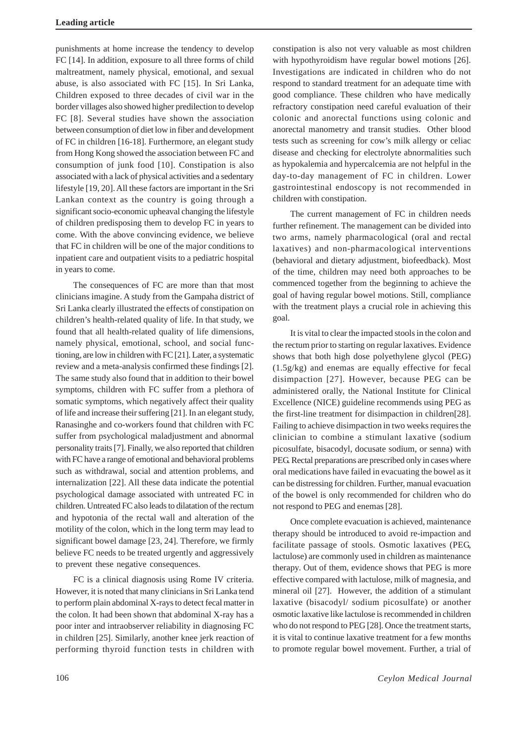punishments at home increase the tendency to develop FC [14]. In addition, exposure to all three forms of child maltreatment, namely physical, emotional, and sexual abuse, is also associated with FC [15]. In Sri Lanka, Children exposed to three decades of civil war in the border villages also showed higher predilection to develop FC [8]. Several studies have shown the association between consumption of diet low in fiber and development of FC in children [16-18]. Furthermore, an elegant study from Hong Kong showed the association between FC and consumption of junk food [10]. Constipation is also associated with a lack of physical activities and a sedentary lifestyle [19, 20]. All these factors are important in the Sri Lankan context as the country is going through a significant socio-economic upheaval changing the lifestyle of children predisposing them to develop FC in years to come. With the above convincing evidence, we believe that FC in children will be one of the major conditions to inpatient care and outpatient visits to a pediatric hospital in years to come.

The consequences of FC are more than that most clinicians imagine. A study from the Gampaha district of Sri Lanka clearly illustrated the effects of constipation on children's health-related quality of life. In that study, we found that all health-related quality of life dimensions, namely physical, emotional, school, and social functioning, are low in children with FC [21]. Later, a systematic review and a meta-analysis confirmed these findings [2]. The same study also found that in addition to their bowel symptoms, children with FC suffer from a plethora of somatic symptoms, which negatively affect their quality of life and increase their suffering [21]. In an elegant study, Ranasinghe and co-workers found that children with FC suffer from psychological maladjustment and abnormal personality traits [7]. Finally, we also reported that children with FC have a range of emotional and behavioral problems such as withdrawal, social and attention problems, and internalization [22]. All these data indicate the potential psychological damage associated with untreated FC in children. Untreated FC also leads to dilatation of the rectum and hypotonia of the rectal wall and alteration of the motility of the colon, which in the long term may lead to significant bowel damage [23, 24]. Therefore, we firmly believe FC needs to be treated urgently and aggressively to prevent these negative consequences.

FC is a clinical diagnosis using Rome IV criteria. However, it is noted that many clinicians in Sri Lanka tend to perform plain abdominal X-rays to detect fecal matter in the colon. It had been shown that abdominal X-ray has a poor inter and intraobserver reliability in diagnosing FC in children [25]. Similarly, another knee jerk reaction of performing thyroid function tests in children with

constipation is also not very valuable as most children with hypothyroidism have regular bowel motions [26]. Investigations are indicated in children who do not respond to standard treatment for an adequate time with good compliance. These children who have medically refractory constipation need careful evaluation of their colonic and anorectal functions using colonic and anorectal manometry and transit studies. Other blood tests such as screening for cow's milk allergy or celiac disease and checking for electrolyte abnormalities such as hypokalemia and hypercalcemia are not helpful in the day-to-day management of FC in children. Lower gastrointestinal endoscopy is not recommended in children with constipation.

The current management of FC in children needs further refinement. The management can be divided into two arms, namely pharmacological (oral and rectal laxatives) and non-pharmacological interventions (behavioral and dietary adjustment, biofeedback). Most of the time, children may need both approaches to be commenced together from the beginning to achieve the goal of having regular bowel motions. Still, compliance with the treatment plays a crucial role in achieving this goal.

It is vital to clear the impacted stools in the colon and the rectum prior to starting on regular laxatives. Evidence shows that both high dose polyethylene glycol (PEG) (1.5g/kg) and enemas are equally effective for fecal disimpaction [27]. However, because PEG can be administered orally, the National Institute for Clinical Excellence (NICE) guideline recommends using PEG as the first-line treatment for disimpaction in children[28]. Failing to achieve disimpaction in two weeks requires the clinician to combine a stimulant laxative (sodium picosulfate, bisacodyl, docusate sodium, or senna) with PEG. Rectal preparations are prescribed only in cases where oral medications have failed in evacuating the bowel as it can be distressing for children. Further, manual evacuation of the bowel is only recommended for children who do not respond to PEG and enemas [28].

Once complete evacuation is achieved, maintenance therapy should be introduced to avoid re-impaction and facilitate passage of stools. Osmotic laxatives (PEG, lactulose) are commonly used in children as maintenance therapy. Out of them, evidence shows that PEG is more effective compared with lactulose, milk of magnesia, and mineral oil [27]. However, the addition of a stimulant laxative (bisacodyl/ sodium picosulfate) or another osmotic laxative like lactulose is recommended in children who do not respond to PEG [28]. Once the treatment starts, it is vital to continue laxative treatment for a few months to promote regular bowel movement. Further, a trial of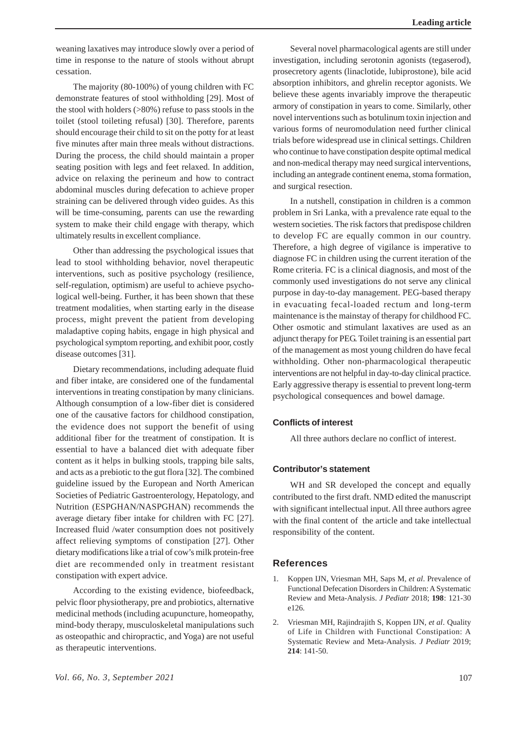weaning laxatives may introduce slowly over a period of time in response to the nature of stools without abrupt cessation.

The majority (80-100%) of young children with FC demonstrate features of stool withholding [29]. Most of the stool with holders (>80%) refuse to pass stools in the toilet (stool toileting refusal) [30]. Therefore, parents should encourage their child to sit on the potty for at least five minutes after main three meals without distractions. During the process, the child should maintain a proper seating position with legs and feet relaxed. In addition, advice on relaxing the perineum and how to contract abdominal muscles during defecation to achieve proper straining can be delivered through video guides. As this will be time-consuming, parents can use the rewarding system to make their child engage with therapy, which ultimately results in excellent compliance.

Other than addressing the psychological issues that lead to stool withholding behavior, novel therapeutic interventions, such as positive psychology (resilience, self-regulation, optimism) are useful to achieve psychological well-being. Further, it has been shown that these treatment modalities, when starting early in the disease process, might prevent the patient from developing maladaptive coping habits, engage in high physical and psychological symptom reporting, and exhibit poor, costly disease outcomes [31].

Dietary recommendations, including adequate fluid and fiber intake, are considered one of the fundamental interventions in treating constipation by many clinicians. Although consumption of a low-fiber diet is considered one of the causative factors for childhood constipation, the evidence does not support the benefit of using additional fiber for the treatment of constipation. It is essential to have a balanced diet with adequate fiber content as it helps in bulking stools, trapping bile salts, and acts as a prebiotic to the gut flora [32]. The combined guideline issued by the European and North American Societies of Pediatric Gastroenterology, Hepatology, and Nutrition (ESPGHAN/NASPGHAN) recommends the average dietary fiber intake for children with FC [27]. Increased fluid /water consumption does not positively affect relieving symptoms of constipation [27]. Other dietary modifications like a trial of cow's milk protein-free diet are recommended only in treatment resistant constipation with expert advice.

According to the existing evidence, biofeedback, pelvic floor physiotherapy, pre and probiotics, alternative medicinal methods (including acupuncture, homeopathy, mind-body therapy, musculoskeletal manipulations such as osteopathic and chiropractic, and Yoga) are not useful as therapeutic interventions.

Several novel pharmacological agents are still under investigation, including serotonin agonists (tegaserod), prosecretory agents (linaclotide, lubiprostone), bile acid absorption inhibitors, and ghrelin receptor agonists. We believe these agents invariably improve the therapeutic armory of constipation in years to come. Similarly, other novel interventions such as botulinum toxin injection and various forms of neuromodulation need further clinical trials before widespread use in clinical settings. Children who continue to have constipation despite optimal medical and non-medical therapy may need surgical interventions, including an antegrade continent enema, stoma formation, and surgical resection.

In a nutshell, constipation in children is a common problem in Sri Lanka, with a prevalence rate equal to the western societies. The risk factors that predispose children to develop FC are equally common in our country. Therefore, a high degree of vigilance is imperative to diagnose FC in children using the current iteration of the Rome criteria. FC is a clinical diagnosis, and most of the commonly used investigations do not serve any clinical purpose in day-to-day management. PEG-based therapy in evacuating fecal-loaded rectum and long-term maintenance is the mainstay of therapy for childhood FC. Other osmotic and stimulant laxatives are used as an adjunct therapy for PEG. Toilet training is an essential part of the management as most young children do have fecal withholding. Other non-pharmacological therapeutic interventions are not helpful in day-to-day clinical practice. Early aggressive therapy is essential to prevent long-term psychological consequences and bowel damage.

# **Conflicts of interest**

All three authors declare no conflict of interest.

### **Contributor's statement**

WH and SR developed the concept and equally contributed to the first draft. NMD edited the manuscript with significant intellectual input. All three authors agree with the final content of the article and take intellectual responsibility of the content.

# **References**

- 1. Koppen IJN, Vriesman MH, Saps M, *et al*. Prevalence of Functional Defecation Disorders in Children: A Systematic Review and Meta-Analysis. *J Pediatr* 2018; **198**: 121-30 e126.
- 2. Vriesman MH, Rajindrajith S, Koppen IJN, *et al*. Quality of Life in Children with Functional Constipation: A Systematic Review and Meta-Analysis. *J Pediatr* 2019; **214**: 141-50.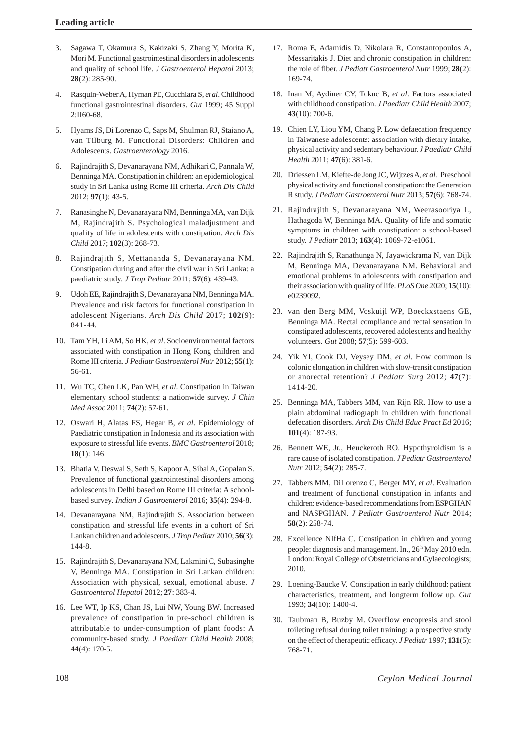- 3. Sagawa T, Okamura S, Kakizaki S, Zhang Y, Morita K, Mori M. Functional gastrointestinal disorders in adolescents and quality of school life. *J Gastroenterol Hepatol* 2013; **28**(2): 285-90.
- 4. Rasquin-Weber A, Hyman PE, Cucchiara S, *et al*. Childhood functional gastrointestinal disorders. *Gut* 1999; 45 Suppl 2:II60-68.
- 5. Hyams JS, Di Lorenzo C, Saps M, Shulman RJ, Staiano A, van Tilburg M. Functional Disorders: Children and Adolescents. *Gastroenterology* 2016.
- 6. Rajindrajith S, Devanarayana NM, Adhikari C, Pannala W, Benninga MA. Constipation in children: an epidemiological study in Sri Lanka using Rome III criteria. *Arch Dis Child* 2012; **97**(1): 43-5.
- 7. Ranasinghe N, Devanarayana NM, Benninga MA, van Dijk M, Rajindrajith S. Psychological maladjustment and quality of life in adolescents with constipation. *Arch Dis Child* 2017; **102**(3): 268-73.
- 8. Rajindrajith S, Mettananda S, Devanarayana NM. Constipation during and after the civil war in Sri Lanka: a paediatric study. *J Trop Pediatr* 2011; **57**(6): 439-43.
- 9. Udoh EE, Rajindrajith S, Devanarayana NM, Benninga MA. Prevalence and risk factors for functional constipation in adolescent Nigerians. *Arch Dis Child* 2017; **102**(9): 841-44.
- 10. Tam YH, Li AM, So HK, *et al*. Socioenvironmental factors associated with constipation in Hong Kong children and Rome III criteria. *J Pediatr Gastroenterol Nutr* 2012; **55**(1): 56-61.
- 11. Wu TC, Chen LK, Pan WH, *et al*. Constipation in Taiwan elementary school students: a nationwide survey. *J Chin Med Assoc* 2011; **74**(2): 57-61.
- 12. Oswari H, Alatas FS, Hegar B, *et al*. Epidemiology of Paediatric constipation in Indonesia and its association with exposure to stressful life events. *BMC Gastroenterol* 2018; **18**(1): 146.
- 13. Bhatia V, Deswal S, Seth S, Kapoor A, Sibal A, Gopalan S. Prevalence of functional gastrointestinal disorders among adolescents in Delhi based on Rome III criteria: A schoolbased survey. *Indian J Gastroenterol* 2016; **35**(4): 294-8.
- 14. Devanarayana NM, Rajindrajith S. Association between constipation and stressful life events in a cohort of Sri Lankan children and adolescents. *J Trop Pediatr* 2010; **56**(3): 144-8.
- 15. Rajindrajith S, Devanarayana NM, Lakmini C, Subasinghe V, Benninga MA. Constipation in Sri Lankan children: Association with physical, sexual, emotional abuse. *J Gastroenterol Hepatol* 2012; **27**: 383-4.
- 16. Lee WT, Ip KS, Chan JS, Lui NW, Young BW. Increased prevalence of constipation in pre-school children is attributable to under-consumption of plant foods: A community-based study. *J Paediatr Child Health* 2008; **44**(4): 170-5.
- 17. Roma E, Adamidis D, Nikolara R, Constantopoulos A, Messaritakis J. Diet and chronic constipation in children: the role of fiber. *J Pediatr Gastroenterol Nutr* 1999; **28**(2): 169-74.
- 18. Inan M, Aydiner CY, Tokuc B, *et al*. Factors associated with childhood constipation. *J Paediatr Child Health* 2007; **43**(10): 700-6.
- 19. Chien LY, Liou YM, Chang P. Low defaecation frequency in Taiwanese adolescents: association with dietary intake, physical activity and sedentary behaviour. *J Paediatr Child Health* 2011; **47**(6): 381-6.
- 20. Driessen LM, Kiefte-de Jong JC, Wijtzes A, *et al.* Preschool physical activity and functional constipation: the Generation R study. *J Pediatr Gastroenterol Nutr* 2013; **57**(6): 768-74.
- 21. Rajindrajith S, Devanarayana NM, Weerasooriya L, Hathagoda W, Benninga MA. Quality of life and somatic symptoms in children with constipation: a school-based study. *J Pediatr* 2013; **163**(4): 1069-72-e1061.
- 22. Rajindrajith S, Ranathunga N, Jayawickrama N, van Dijk M, Benninga MA, Devanarayana NM. Behavioral and emotional problems in adolescents with constipation and their association with quality of life. *PLoS One* 2020; **15**(10): e0239092.
- 23. van den Berg MM, Voskuijl WP, Boeckxstaens GE, Benninga MA. Rectal compliance and rectal sensation in constipated adolescents, recovered adolescents and healthy volunteers. *Gut* 2008; **57**(5): 599-603.
- 24. Yik YI, Cook DJ, Veysey DM, *et al*. How common is colonic elongation in children with slow-transit constipation or anorectal retention? *J Pediatr Surg* 2012; **47**(7): 1414-20.
- 25. Benninga MA, Tabbers MM, van Rijn RR. How to use a plain abdominal radiograph in children with functional defecation disorders. *Arch Dis Child Educ Pract Ed* 2016; **101**(4): 187-93.
- 26. Bennett WE, Jr., Heuckeroth RO. Hypothyroidism is a rare cause of isolated constipation. *J Pediatr Gastroenterol Nutr* 2012; **54**(2): 285-7.
- 27. Tabbers MM, DiLorenzo C, Berger MY, *et al*. Evaluation and treatment of functional constipation in infants and children: evidence-based recommendations from ESPGHAN and NASPGHAN. *J Pediatr Gastroenterol Nutr* 2014; **58**(2): 258-74.
- 28. Excellence NIfHa C. Constipation in chldren and young people: diagnosis and management. In., 26<sup>th</sup> May 2010 edn. London: Royal College of Obstetricians and Gylaecologists; 2010.
- 29. Loening-Baucke V. Constipation in early childhood: patient characteristics, treatment, and longterm follow up. *Gut* 1993; **34**(10): 1400-4.
- 30. Taubman B, Buzby M. Overflow encopresis and stool toileting refusal during toilet training: a prospective study on the effect of therapeutic efficacy. *J Pediatr* 1997; **131**(5): 768-71.